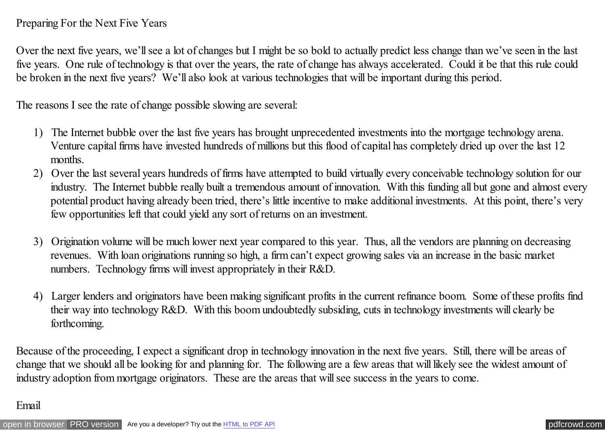## Preparing For the Next Five Years

Over the next five years, we'll see a lot of changes but I might be so bold to actually predict less change than we've seen in the last five years. One rule of technology is that over the years, the rate of change has always accelerated. Could it be that this rule could be broken in the next five years? We'll also look at various technologies that will be important during this period.

The reasons I see the rate of change possible slowing are several:

- 1) The Internet bubble over the last five years has brought unprecedented investments into the mortgage technology arena. Venture capital firms have invested hundreds of millions but this flood of capital has completely dried up over the last 12 months.
- 2) Over the last several years hundreds of firms have attempted to build virtually every conceivable technology solution for our industry. The Internet bubble really built a tremendous amount of innovation. With this funding all but gone and almost every potential product having already been tried, there's little incentive to make additional investments. At this point, there's very few opportunities left that could yield any sort of returns on an investment.
- 3) Origination volume will be much lower next year compared to this year. Thus, all the vendors are planning on decreasing revenues. With loan originations running so high, a firm can't expect growing sales via an increase in the basic market numbers. Technology firms will invest appropriately in their R&D.
- 4) Larger lenders and originators have been making significant profits in the current refinance boom. Some of these profits find their way into technology R&D. With this boom undoubtedly subsiding, cuts in technology investments will clearly be forthcoming.

Because of the proceeding, I expect a significant drop in technology innovation in the next five years. Still, there will be areas of change that we should all be looking for and planning for. The following are a few areas that will likely see the widest amount of industry adoption from mortgage originators. These are the areas that will see success in the years to come.

### Email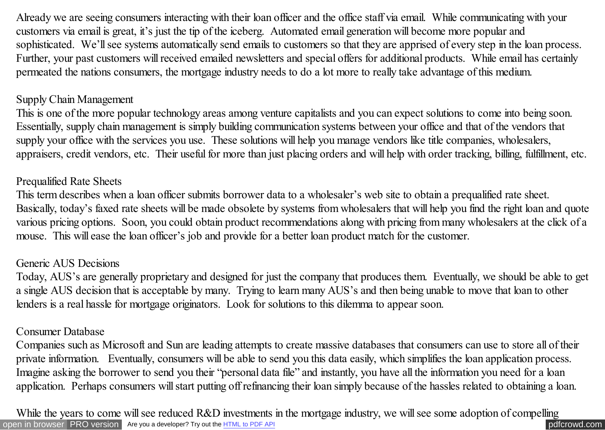Already we are seeing consumers interacting with their loan officer and the office staff via email. While communicating with your customers via email is great, it's just the tip of the iceberg. Automated email generation will become more popular and sophisticated. We'll see systems automatically send emails to customers so that they are apprised of every step in the loan process. Further, your past customers will received emailed newsletters and special offers for additional products. While email has certainly permeated the nations consumers, the mortgage industry needs to do a lot more to really take advantage of this medium.

## Supply Chain Management

This is one of the more popular technology areas among venture capitalists and you can expect solutions to come into being soon. Essentially, supply chain management is simply building communication systems between your office and that of the vendors that supply your office with the services you use. These solutions will help you manage vendors like title companies, wholesalers, appraisers, credit vendors, etc. Their useful for more than just placing orders and will help with order tracking, billing, fulfillment, etc.

# Prequalified Rate Sheets

This term describes when a loan officer submits borrower data to a wholesaler's web site to obtain a prequalified rate sheet. Basically, today's faxed rate sheets will be made obsolete by systems from wholesalers that will help you find the right loan and quote various pricing options. Soon, you could obtain product recommendations along with pricing from many wholesalers at the click of a mouse. This will ease the loan officer's job and provide for a better loan product match for the customer.

## Generic AUS Decisions

Today, AUS's are generally proprietary and designed for just the company that produces them. Eventually, we should be able to get a single AUS decision that is acceptable by many. Trying to learn many AUS's and then being unable to move that loan to other lenders is a real hassle for mortgage originators. Look for solutions to this dilemma to appear soon.

### Consumer Database

Companies such as Microsoft and Sun are leading attempts to create massive databases that consumers can use to store all of their private information. Eventually, consumers will be able to send you this data easily, which simplifies the loan application process. Imagine asking the borrower to send you their "personal data file" and instantly, you have all the information you need for a loan application. Perhaps consumers will start putting off refinancing their loan simply because of the hassles related to obtaining a loan.

[open in browser](http://pdfcrowd.com/redirect/?url=http%3a%2f%2fscooley.com%2fmom33.htm&id=ma-140810164747-e45ef702) [PRO version](http://pdfcrowd.com/customize/) Are you a developer? Try out th[e HTML to PDF API](http://pdfcrowd.com/html-to-pdf-api/?ref=pdf) position of the Area and the ATML to PDF API position of the ATML to PDF API position of the ATML to PDF API position of the ATML to PDF API and While the years to come will see reduced R&D investments in the mortgage industry, we will see some adoption of compelling